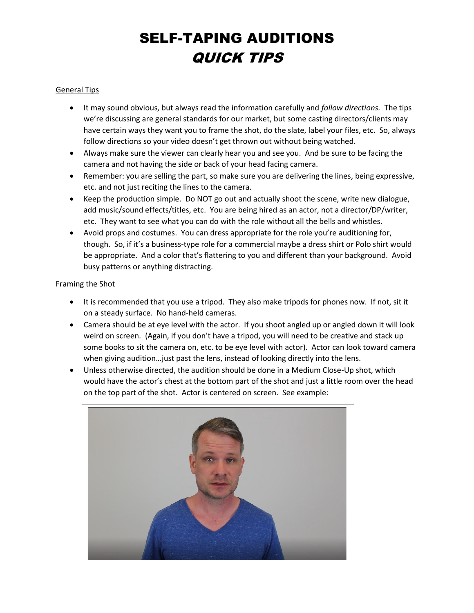### General Tips

- It may sound obvious, but always read the information carefully and *follow directions.* The tips we're discussing are general standards for our market, but some casting directors/clients may have certain ways they want you to frame the shot, do the slate, label your files, etc. So, always follow directions so your video doesn't get thrown out without being watched.
- Always make sure the viewer can clearly hear you and see you. And be sure to be facing the camera and not having the side or back of your head facing camera.
- Remember: you are selling the part, so make sure you are delivering the lines, being expressive, etc. and not just reciting the lines to the camera.
- Keep the production simple. Do NOT go out and actually shoot the scene, write new dialogue, add music/sound effects/titles, etc. You are being hired as an actor, not a director/DP/writer, etc. They want to see what you can do with the role without all the bells and whistles.
- Avoid props and costumes. You can dress appropriate for the role you're auditioning for, though. So, if it's a business-type role for a commercial maybe a dress shirt or Polo shirt would be appropriate. And a color that's flattering to you and different than your background. Avoid busy patterns or anything distracting.

#### Framing the Shot

- It is recommended that you use a tripod. They also make tripods for phones now. If not, sit it on a steady surface. No hand-held cameras.
- Camera should be at eye level with the actor. If you shoot angled up or angled down it will look weird on screen. (Again, if you don't have a tripod, you will need to be creative and stack up some books to sit the camera on, etc. to be eye level with actor). Actor can look toward camera when giving audition…just past the lens, instead of looking directly into the lens.
- Unless otherwise directed, the audition should be done in a Medium Close-Up shot, which would have the actor's chest at the bottom part of the shot and just a little room over the head on the top part of the shot. Actor is centered on screen. See example:

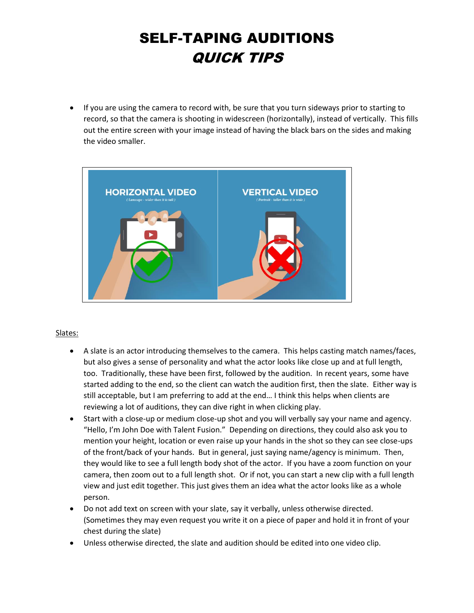• If you are using the camera to record with, be sure that you turn sideways prior to starting to record, so that the camera is shooting in widescreen (horizontally), instead of vertically. This fills out the entire screen with your image instead of having the black bars on the sides and making the video smaller.



#### Slates:

- A slate is an actor introducing themselves to the camera. This helps casting match names/faces, but also gives a sense of personality and what the actor looks like close up and at full length, too. Traditionally, these have been first, followed by the audition. In recent years, some have started adding to the end, so the client can watch the audition first, then the slate. Either way is still acceptable, but I am preferring to add at the end… I think this helps when clients are reviewing a lot of auditions, they can dive right in when clicking play.
- Start with a close-up or medium close-up shot and you will verbally say your name and agency. "Hello, I'm John Doe with Talent Fusion." Depending on directions, they could also ask you to mention your height, location or even raise up your hands in the shot so they can see close-ups of the front/back of your hands. But in general, just saying name/agency is minimum. Then, they would like to see a full length body shot of the actor. If you have a zoom function on your camera, then zoom out to a full length shot. Or if not, you can start a new clip with a full length view and just edit together. This just gives them an idea what the actor looks like as a whole person.
- Do not add text on screen with your slate, say it verbally, unless otherwise directed. (Sometimes they may even request you write it on a piece of paper and hold it in front of your chest during the slate)
- Unless otherwise directed, the slate and audition should be edited into one video clip.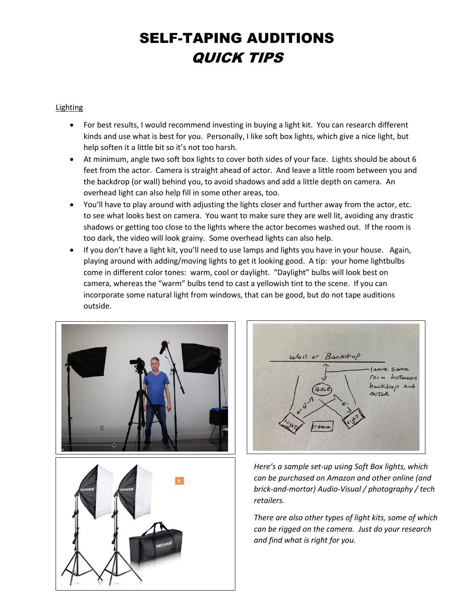### Lighting

- For best results, I would recommend investing in buying a light kit. You can research different kinds and use what is best for you. Personally, I like soft box lights, which give a nice light, but help soften it a little bit so it's not too harsh.
- At minimum, angle two soft box lights to cover both sides of your face. Lights should be about 6 feet from the actor. Camera is straight ahead of actor. And leave a little room between you and the backdrop (or wall) behind you, to avoid shadows and add a little depth on camera. An overhead light can also help fill in some other areas, too.
- You'll have to play around with adjusting the lights closer and further away from the actor, etc. to see what looks best on camera. You want to make sure they are well lit, avoiding any drastic shadows or getting too close to the lights where the actor becomes washed out. If the room is too dark, the video will look grainy. Some overhead lights can also help.
- If you don't have a light kit, you'll need to use lamps and lights you have in your house. Again, playing around with adding/moving lights to get it looking good. A tip: your home lightbulbs come in different color tones: warm, cool or daylight. "Daylight" bulbs will look best on camera, whereas the "warm" bulbs tend to cast a yellowish tint to the scene. If you can incorporate some natural light from windows, that can be good, but do not tape auditions outside.







*Here's a sample set-up using Soft Box lights, which can be purchased on Amazon and other online (and brick-and-mortar) Audio-Visual / photography / tech retailers.*

*There are also other types of light kits, some of which can be rigged on the camera. Just do your research and find what is right for you.*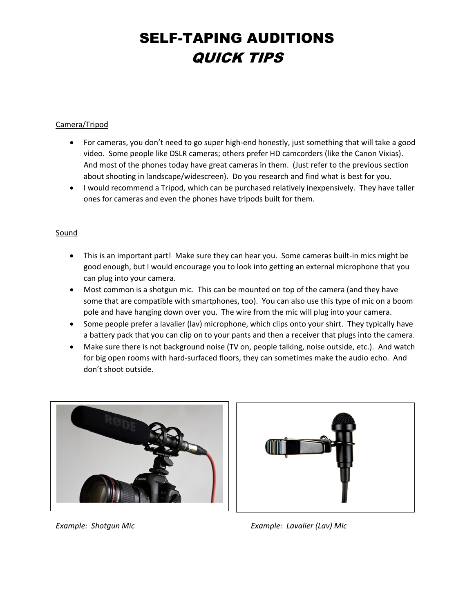### Camera/Tripod

- For cameras, you don't need to go super high-end honestly, just something that will take a good video. Some people like DSLR cameras; others prefer HD camcorders (like the Canon Vixias). And most of the phones today have great cameras in them. (Just refer to the previous section about shooting in landscape/widescreen). Do you research and find what is best for you.
- I would recommend a Tripod, which can be purchased relatively inexpensively. They have taller ones for cameras and even the phones have tripods built for them.

### **Sound**

- This is an important part! Make sure they can hear you. Some cameras built-in mics might be good enough, but I would encourage you to look into getting an external microphone that you can plug into your camera.
- Most common is a shotgun mic. This can be mounted on top of the camera (and they have some that are compatible with smartphones, too). You can also use this type of mic on a boom pole and have hanging down over you. The wire from the mic will plug into your camera.
- Some people prefer a lavalier (lav) microphone, which clips onto your shirt. They typically have a battery pack that you can clip on to your pants and then a receiver that plugs into the camera.
- Make sure there is not background noise (TV on, people talking, noise outside, etc.). And watch for big open rooms with hard-surfaced floors, they can sometimes make the audio echo. And don't shoot outside.





*Example: Shotgun Mic Example: Lavalier (Lav) Mic*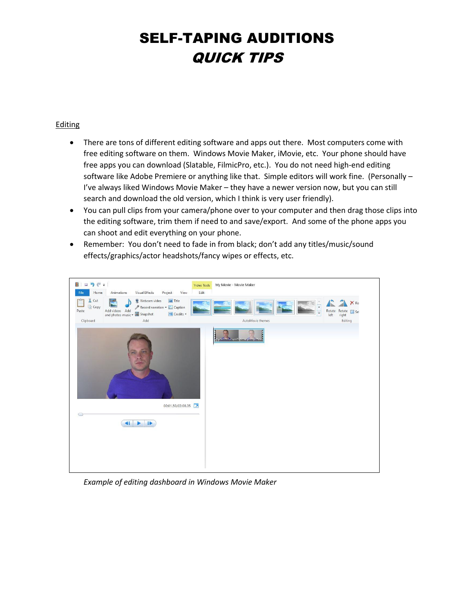### Editing

- There are tons of different editing software and apps out there. Most computers come with free editing software on them. Windows Movie Maker, iMovie, etc. Your phone should have free apps you can download (Slatable, FilmicPro, etc.). You do not need high-end editing software like Adobe Premiere or anything like that. Simple editors will work fine. (Personally – I've always liked Windows Movie Maker – they have a newer version now, but you can still search and download the old version, which I think is very user friendly).
- You can pull clips from your camera/phone over to your computer and then drag those clips into the editing software, trim them if need to and save/export. And some of the phone apps you can shoot and edit everything on your phone.
- Remember: You don't need to fade in from black; don't add any titles/music/sound effects/graphics/actor headshots/fancy wipes or effects, etc.



*Example of editing dashboard in Windows Movie Maker*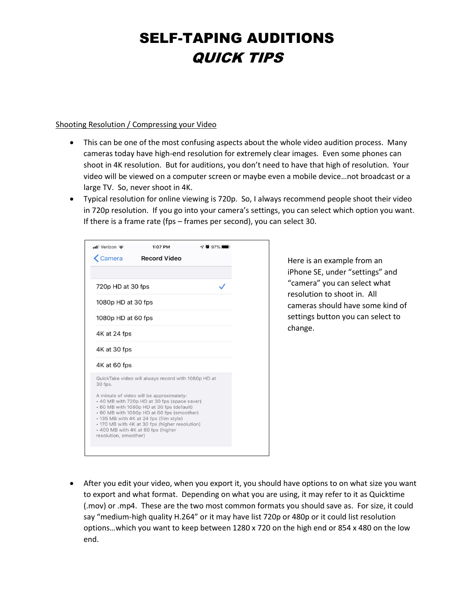#### Shooting Resolution / Compressing your Video

- This can be one of the most confusing aspects about the whole video audition process. Many cameras today have high-end resolution for extremely clear images. Even some phones can shoot in 4K resolution. But for auditions, you don't need to have that high of resolution. Your video will be viewed on a computer screen or maybe even a mobile device…not broadcast or a large TV. So, never shoot in 4K.
- Typical resolution for online viewing is 720p. So, I always recommend people shoot their video in 720p resolution. If you go into your camera's settings, you can select which option you want. If there is a frame rate (fps – frames per second), you can select 30.

| $\cdot$ Il Verizon    | 1:07 PM                                                                                                                                                                                                                                                                                                                | 697% |
|-----------------------|------------------------------------------------------------------------------------------------------------------------------------------------------------------------------------------------------------------------------------------------------------------------------------------------------------------------|------|
| <b>Exemple 2</b>      | <b>Record Video</b>                                                                                                                                                                                                                                                                                                    |      |
|                       |                                                                                                                                                                                                                                                                                                                        |      |
| 720p HD at 30 fps     |                                                                                                                                                                                                                                                                                                                        |      |
| 1080p HD at 30 fps    |                                                                                                                                                                                                                                                                                                                        |      |
| 1080p HD at 60 fps    |                                                                                                                                                                                                                                                                                                                        |      |
| 4K at 24 fps          |                                                                                                                                                                                                                                                                                                                        |      |
| 4K at 30 fps          |                                                                                                                                                                                                                                                                                                                        |      |
| 4K at 60 fps          |                                                                                                                                                                                                                                                                                                                        |      |
| 30 fps.               | QuickTake video will always record with 1080p HD at                                                                                                                                                                                                                                                                    |      |
| resolution, smoother) | A minute of video will be approximately:<br>• 40 MB with 720p HD at 30 fps (space saver)<br>+ 60 MB with 1080p HD at 30 fps (default)<br>. 90 MB with 1080p HD at 60 fps (smoother)<br>• 135 MB with 4K at 24 fps (film style)<br>• 170 MB with 4K at 30 fps (higher resolution)<br>+ 400 MB with 4K at 60 fps (higher |      |
|                       |                                                                                                                                                                                                                                                                                                                        |      |

Here is an example from an iPhone SE, under "settings" and "camera" you can select what resolution to shoot in. All cameras should have some kind of settings button you can select to change.

• After you edit your video, when you export it, you should have options to on what size you want to export and what format. Depending on what you are using, it may refer to it as Quicktime (.mov) or .mp4. These are the two most common formats you should save as. For size, it could say "medium-high quality H.264" or it may have list 720p or 480p or it could list resolution options…which you want to keep between 1280 x 720 on the high end or 854 x 480 on the low end.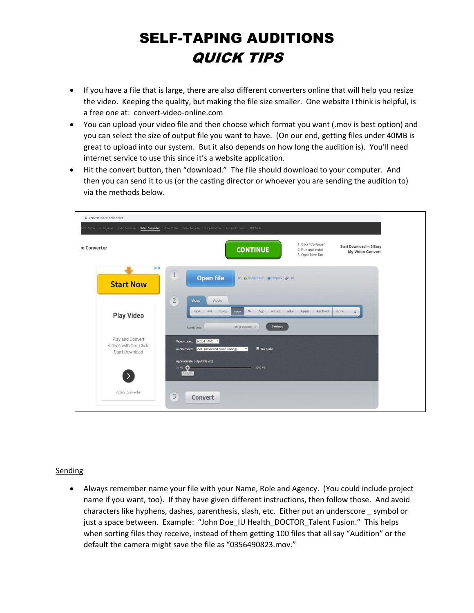- If you have a file that is large, there are also different converters online that will help you resize the video. Keeping the quality, but making the file size smaller. One website I think is helpful, is a free one at: convert-video-online.com
- You can upload your video file and then choose which format you want (.mov is best option) and you can select the size of output file you want to have. (On our end, getting files under 40MB is great to upload into our system. But it also depends on how long the audition is). You'll need internet service to use this since it's a website application.
- Hit the convert button, then "download." The file should download to your computer. And then you can send it to us (or the casting director or whoever you are sending the audition to) via the methods below.

| convert-video-online.com                                    | utio Cutter Audio Joiner Audio Converter Wideo Converter Video Cutter Video Recorder Voice Recorder Archive Extractor PDF Tools                |
|-------------------------------------------------------------|------------------------------------------------------------------------------------------------------------------------------------------------|
| to Converter                                                | 1. Click "Continue"<br><b>Start Download in 3 Easy</b><br><b>CONTINUE</b><br>2. Run and Install<br>My Video Convert<br>3. Open New Tab         |
| <b>DX</b><br><b>Start Now</b>                               | $\sqrt{1}$<br><b>Open file</b><br>or & Google Drive C Dropbox & URL                                                                            |
| <b>Play Video</b>                                           | $\overline{2}$<br>Video<br>Audio<br>Android<br>Apple<br>flv 3gp<br>webm<br>mkv<br>avi<br>mp4<br>mpeg<br>more<br>mov                            |
| Play and Convert<br>Videos with One Click<br>Start Download | Settings<br>480p 854x480 -<br>Resolution:<br>Video codec: H264 / AVC .<br>Audio codec: AAC (Advanced Audio Coding)<br>No audio<br>$\mathbf{v}$ |
|                                                             | Approximate output file size:<br>10 Mb 0<br>1000 Mb<br>28.9 Mb                                                                                 |
| Video Converter                                             | $\mathbf{3}$<br>Convert                                                                                                                        |

#### Sending

• Always remember name your file with your Name, Role and Agency. (You could include project name if you want, too). If they have given different instructions, then follow those. And avoid characters like hyphens, dashes, parenthesis, slash, etc. Either put an underscore \_ symbol or just a space between. Example: "John Doe IU Health\_DOCTOR\_Talent Fusion." This helps when sorting files they receive, instead of them getting 100 files that all say "Audition" or the default the camera might save the file as "0356490823.mov."